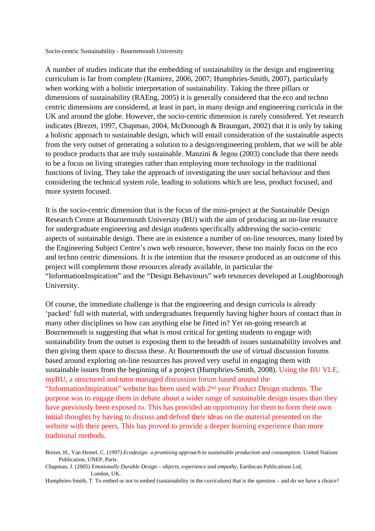Socio-centric Sustainability - Bournemouth University

A number of studies indicate that the embedding of sustainability in the design and engineering curriculum is far from complete (Ramirez, 2006, 2007; Humphries-Smith, 2007), particularly when working with a holistic interpretation of sustainability. Taking the three pillars or dimensions of sustainability (RAEng, 2005) it is generally considered that the eco and techno centric dimensions are considered, at least in part, in many design and engineering curricula in the UK and around the globe. However, the socio-centric dimension is rarely considered. Yet research indicates (Brezet, 1997, Chapman, 2004, McDonough & Braungart, 2002) that it is only by taking a holistic approach to sustainable design, which will entail consideration of the sustainable aspects from the very outset of generating a solution to a design/engineering problem, that we will be able to produce products that are truly sustainable. Manzini & Jegou (2003) conclude that there needs to be a focus on living strategies rather than employing more technology in the traditional functions of living. They take the approach of investigating the user social behaviour and then considering the technical system role, leading to solutions which are less, product focused, and more system focused.

It is the socio-centric dimension that is the focus of the mini-project at the Sustainable Design Research Centre at Bournemouth University (BU) with the aim of producing an on-line resource for undergraduate engineering and design students specifically addressing the socio-centric aspects of sustainable design. There are in existence a number of on-line resources, many listed by the Engineering Subject Centre's own web resource, however, these too mainly focus on the eco and techno centric dimensions. It is the intention that the resource produced as an outcome of this project will complement those resources already available, in particular the "InformationInspiration" and the "Design Behaviours" web resources developed at Loughborough University.

Of course, the immediate challenge is that the engineering and design curricula is already 'packed' full with material, with undergraduates frequently having higher hours of contact than in many other disciplines so how can anything else be fitted in? Yet on-going research at Bournemouth is suggesting that what is most critical for getting students to engage with sustainability from the outset is exposing them to the breadth of issues sustainability involves and then giving them space to discuss these. At Bournemouth the use of virtual discussion forums based around exploring on-line resources has proved very useful in engaging them with sustainable issues from the beginning of a project (Humphries-Smith, 2008). Using the BU VLE, myBU, a structured and tutor managed discussion forum based around the "InformationInspiration" website has been used with 2nd year Product Design students. The purpose was to engage them in debate about a wider range of sustainable design issues than they have previously been exposed to. This has provided an opportunity for them to form their own initial thoughts by having to discuss and defend their ideas on the material presented on the website with their peers. This has proved to provide a deeper learning experience than more traditional methods.

Brezet, H., Van Hemel, C. (1997) *Ecodesign: a promising approach to sustainable production and consumption*. United Nations Publication, UNEP, Paris.

Chapman, J. (2005) *Emotionally Durable Design – objects, experience and empathy*, Earthscan Publications Ltd, London, UK.

Humphries-Smith, T. To embed or not to embed (sustainability in the curriculum) that is the question – and do we have a choice?